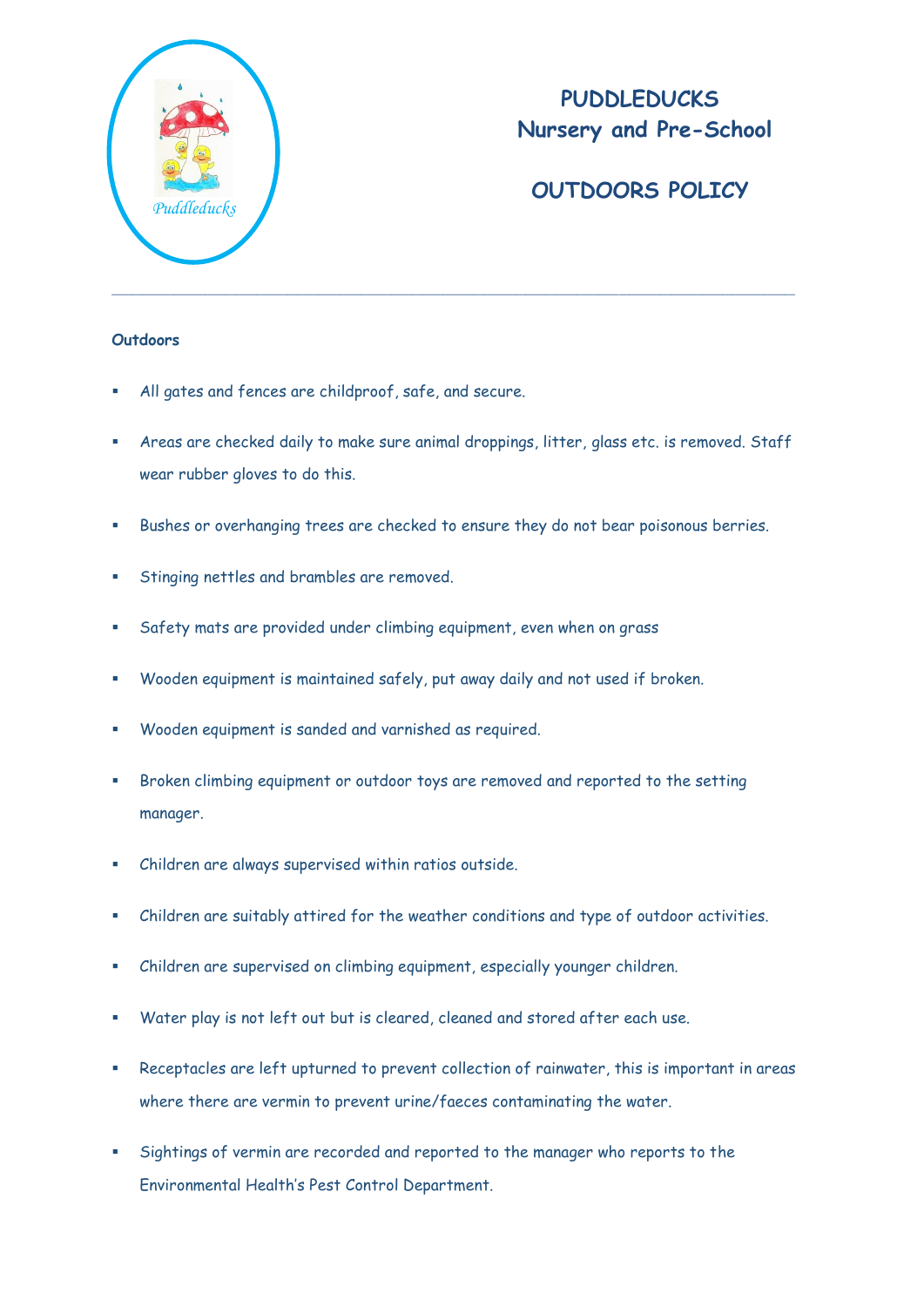

# **PUDDLEDUCKS Nursery and Pre-School**

# **OUTDOORS POLICY**

### **Outdoors**

- All gates and fences are childproof, safe, and secure.
- Areas are checked daily to make sure animal droppings, litter, glass etc. is removed. Staff wear rubber gloves to do this.
- Bushes or overhanging trees are checked to ensure they do not bear poisonous berries.
- **Stinging nettles and brambles are removed.**
- Safety mats are provided under climbing equipment, even when on grass
- Wooden equipment is maintained safely, put away daily and not used if broken.
- Wooden equipment is sanded and varnished as required.
- Broken climbing equipment or outdoor toys are removed and reported to the setting manager.
- Children are always supervised within ratios outside.
- Children are suitably attired for the weather conditions and type of outdoor activities.
- Children are supervised on climbing equipment, especially younger children.
- Water play is not left out but is cleared, cleaned and stored after each use.
- Receptacles are left upturned to prevent collection of rainwater, this is important in areas where there are vermin to prevent urine/faeces contaminating the water.
- Sightings of vermin are recorded and reported to the manager who reports to the Environmental Health's Pest Control Department.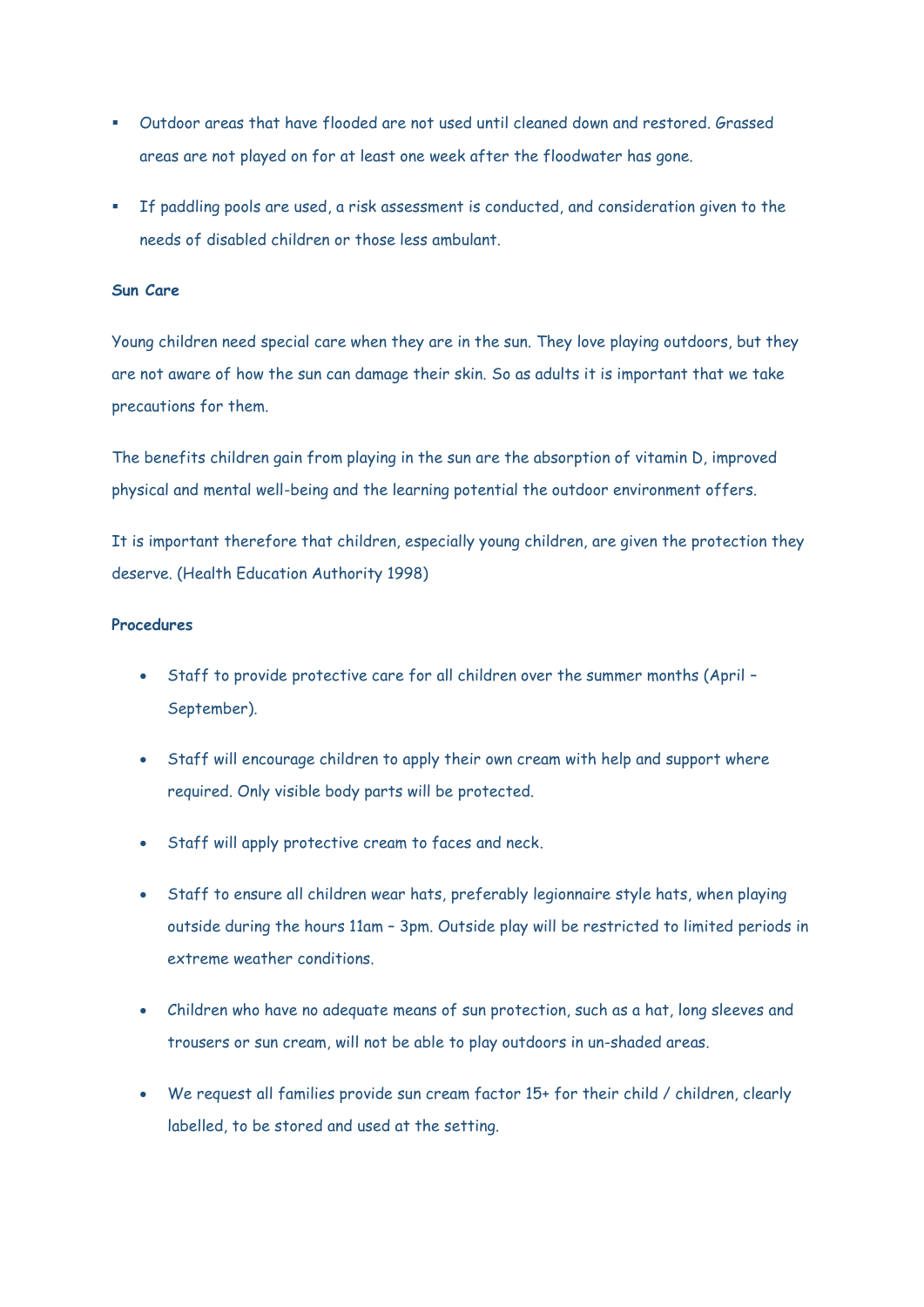- Outdoor areas that have flooded are not used until cleaned down and restored. Grassed areas are not played on for at least one week after the floodwater has gone.
- If paddling pools are used, a risk assessment is conducted, and consideration given to the needs of disabled children or those less ambulant.

#### **Sun Care**

Young children need special care when they are in the sun. They love playing outdoors, but they are not aware of how the sun can damage their skin. So as adults it is important that we take precautions for them.

The benefits children gain from playing in the sun are the absorption of vitamin D, improved physical and mental well-being and the learning potential the outdoor environment offers.

It is important therefore that children, especially young children, are given the protection they deserve. (Health Education Authority 1998)

### **Procedures**

- Staff to provide protective care for all children over the summer months (April September).
- Staff will encourage children to apply their own cream with help and support where required. Only visible body parts will be protected.
- Staff will apply protective cream to faces and neck.
- Staff to ensure all children wear hats, preferably legionnaire style hats, when playing outside during the hours 11am – 3pm. Outside play will be restricted to limited periods in extreme weather conditions.
- Children who have no adequate means of sun protection, such as a hat, long sleeves and trousers or sun cream, will not be able to play outdoors in un-shaded areas.
- We request all families provide sun cream factor 15+ for their child / children, clearly labelled, to be stored and used at the setting.